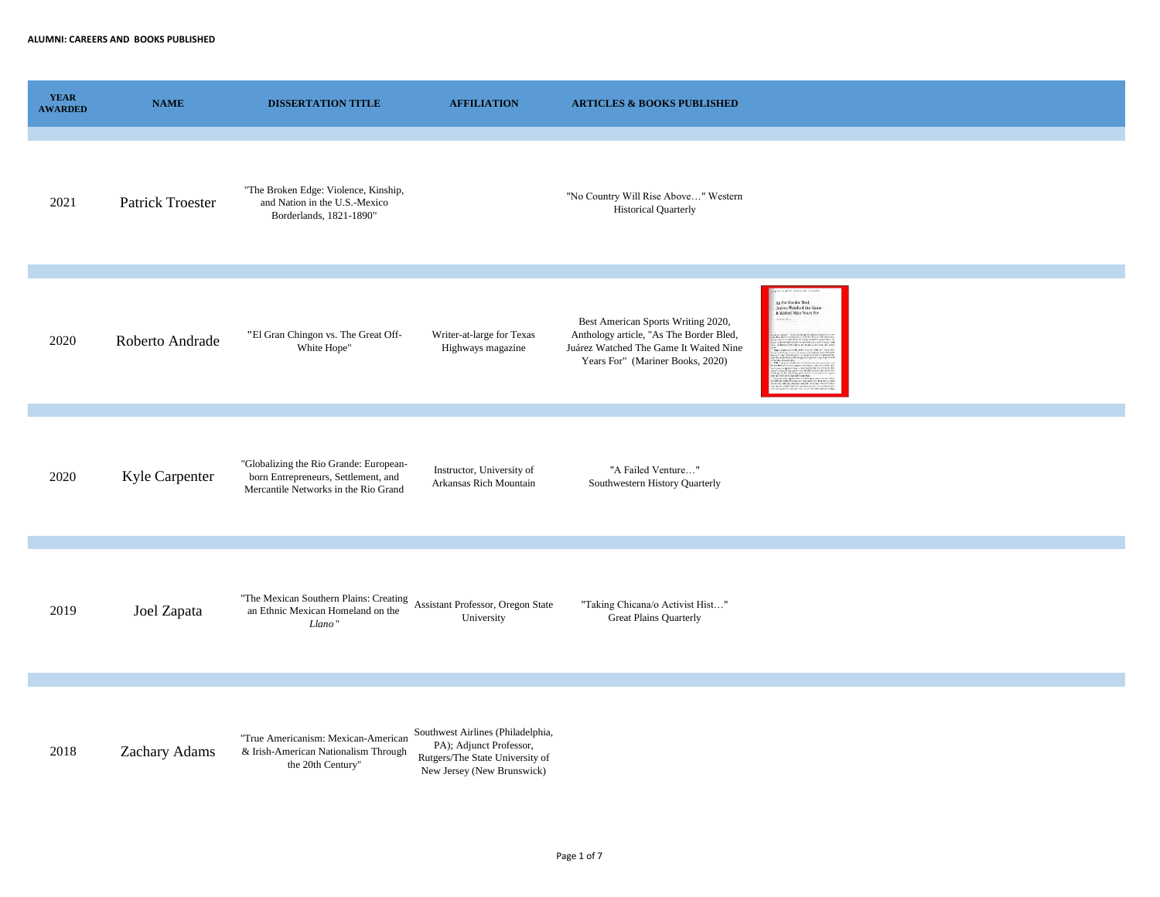| <b>YEAR</b><br><b>AWARDED</b> | <b>NAME</b>      | <b>DISSERTATION TITLE</b>                                                                                               | <b>AFFILIATION</b>                                                                                                            | <b>ARTICLES &amp; BOOKS PUBLISHED</b>                                                                                                                       |                                                                            |
|-------------------------------|------------------|-------------------------------------------------------------------------------------------------------------------------|-------------------------------------------------------------------------------------------------------------------------------|-------------------------------------------------------------------------------------------------------------------------------------------------------------|----------------------------------------------------------------------------|
| 2021                          | Patrick Troester | "The Broken Edge: Violence, Kinship,<br>and Nation in the U.S.-Mexico<br>Borderlands, 1821-1890"                        |                                                                                                                               | "No Country Will Rise Above" Western<br><b>Historical Quarterly</b>                                                                                         |                                                                            |
| 2020                          | Roberto Andrade  | "El Gran Chingon vs. The Great Off-<br>White Hope"                                                                      | Writer-at-large for Texas<br>Highways magazine                                                                                | Best American Sports Writing 2020,<br>Anthology article, "As The Border Bled,<br>Juárez Watched The Game It Waited Nine<br>Years For" (Mariner Books, 2020) | As the Border Bled,<br>Juárez Watched the Game<br>It Waited Nine Years For |
| 2020                          | Kyle Carpenter   | "Globalizing the Rio Grande: European-<br>born Entrepreneurs, Settlement, and<br>Mercantile Networks in the Rio Grand   | Instructor, University of<br>Arkansas Rich Mountain                                                                           | "A Failed Venture"<br>Southwestern History Quarterly                                                                                                        |                                                                            |
| 2019                          | Joel Zapata      | "The Mexican Southern Plains: Creating Assistant Professor, Oregon State<br>an Ethnic Mexican Homeland on the<br>Llano' | University                                                                                                                    | "Taking Chicana/o Activist Hist"<br><b>Great Plains Quarterly</b>                                                                                           |                                                                            |
| 2018                          | Zachary Adams    | "True Americanism: Mexican-American<br>& Irish-American Nationalism Through<br>the 20th Century"                        | Southwest Airlines (Philadelphia,<br>PA); Adjunct Professor,<br>Rutgers/The State University of<br>New Jersey (New Brunswick) |                                                                                                                                                             |                                                                            |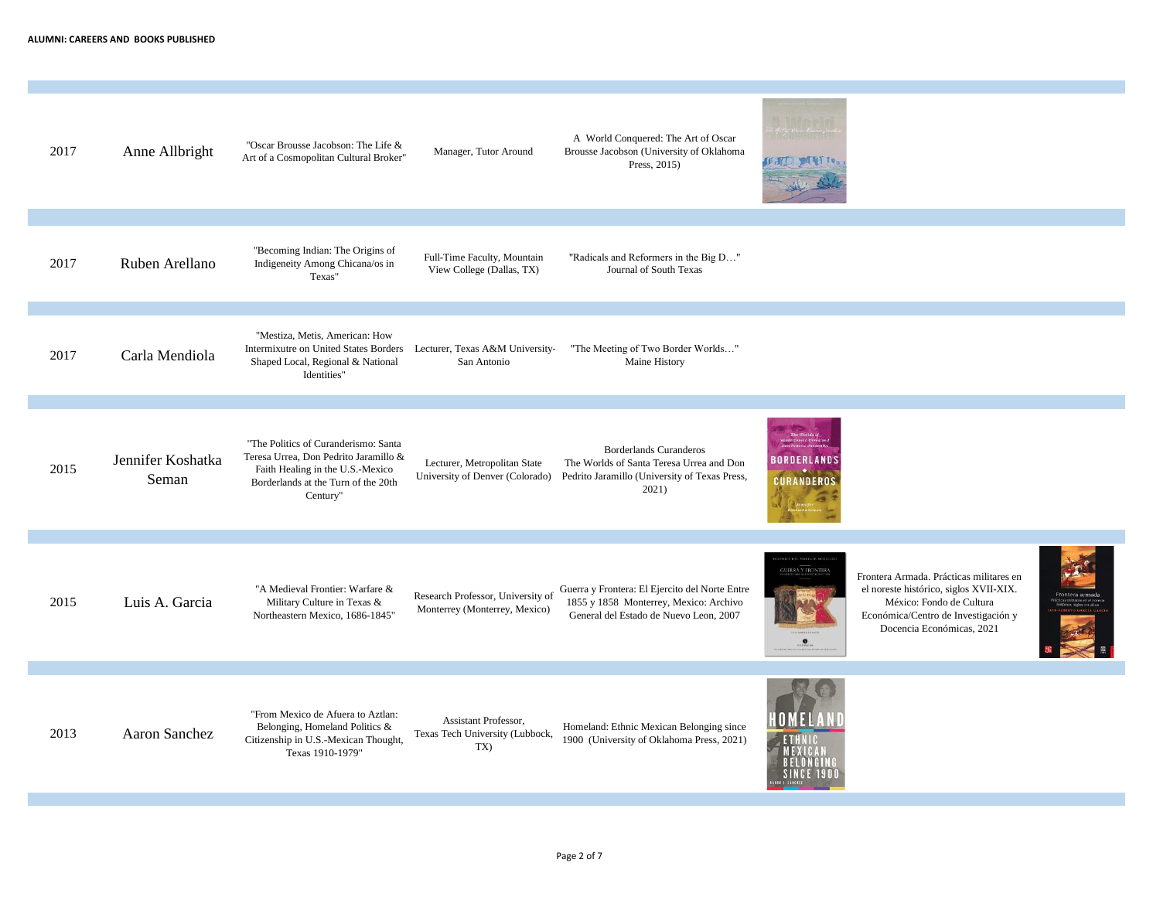| 2017 | Anne Allbright             | "Oscar Brousse Jacobson: The Life &<br>Art of a Cosmopolitan Cultural Broker"                                                                                        | Manager, Tutor Around                                              | A World Conquered: The Art of Oscar<br>Brousse Jacobson (University of Oklahoma<br>Press, 2015)                                     | <b>CATE MATT</b>          |                                                                                                                                                                                   |  |
|------|----------------------------|----------------------------------------------------------------------------------------------------------------------------------------------------------------------|--------------------------------------------------------------------|-------------------------------------------------------------------------------------------------------------------------------------|---------------------------|-----------------------------------------------------------------------------------------------------------------------------------------------------------------------------------|--|
| 2017 | Ruben Arellano             | "Becoming Indian: The Origins of<br>Indigeneity Among Chicana/os in<br>Texas"                                                                                        | Full-Time Faculty, Mountain<br>View College (Dallas, TX)           | "Radicals and Reformers in the Big D"<br>Journal of South Texas                                                                     |                           |                                                                                                                                                                                   |  |
| 2017 | Carla Mendiola             | "Mestiza, Metis, American: How<br>Intermixutre on United States Borders<br>Shaped Local, Regional & National<br>Identities"                                          | Lecturer, Texas A&M University-<br>San Antonio                     | "The Meeting of Two Border Worlds"<br>Maine History                                                                                 |                           |                                                                                                                                                                                   |  |
| 2015 | Jennifer Koshatka<br>Seman | "The Politics of Curanderismo: Santa<br>Teresa Urrea, Don Pedrito Jaramillo &<br>Faith Healing in the U.S.-Mexico<br>Borderlands at the Turn of the 20th<br>Century" | Lecturer, Metropolitan State<br>University of Denver (Colorado)    | <b>Borderlands Curanderos</b><br>The Worlds of Santa Teresa Urrea and Don<br>Pedrito Jaramillo (University of Texas Press,<br>2021) | IRNERI ANDS<br>:URANDEROS |                                                                                                                                                                                   |  |
| 2015 | Luis A. Garcia             | "A Medieval Frontier: Warfare &<br>Military Culture in Texas &<br>Northeastern Mexico, 1686-1845"                                                                    | Research Professor, University of<br>Monterrey (Monterrey, Mexico) | Guerra y Frontera: El Ejercito del Norte Entre<br>1855 y 1858 Monterrey, Mexico: Archivo<br>General del Estado de Nuevo Leon, 2007  | GUERRA Y FRONTERA         | Frontera Armada. Prácticas militares en<br>el noreste histórico, siglos XVII-XIX.<br>México: Fondo de Cultura<br>Económica/Centro de Investigación y<br>Docencia Económicas, 2021 |  |
| 2013 | Aaron Sanchez              | "From Mexico de Afuera to Aztlan:<br>Belonging, Homeland Politics &<br>Citizenship in U.S.-Mexican Thought,<br>Texas 1910-1979"                                      | Assistant Professor,<br>Texas Tech University (Lubbock,<br>TX)     | Homeland: Ethnic Mexican Belonging since<br>1900 (University of Oklahoma Press, 2021)                                               | OMELA                     |                                                                                                                                                                                   |  |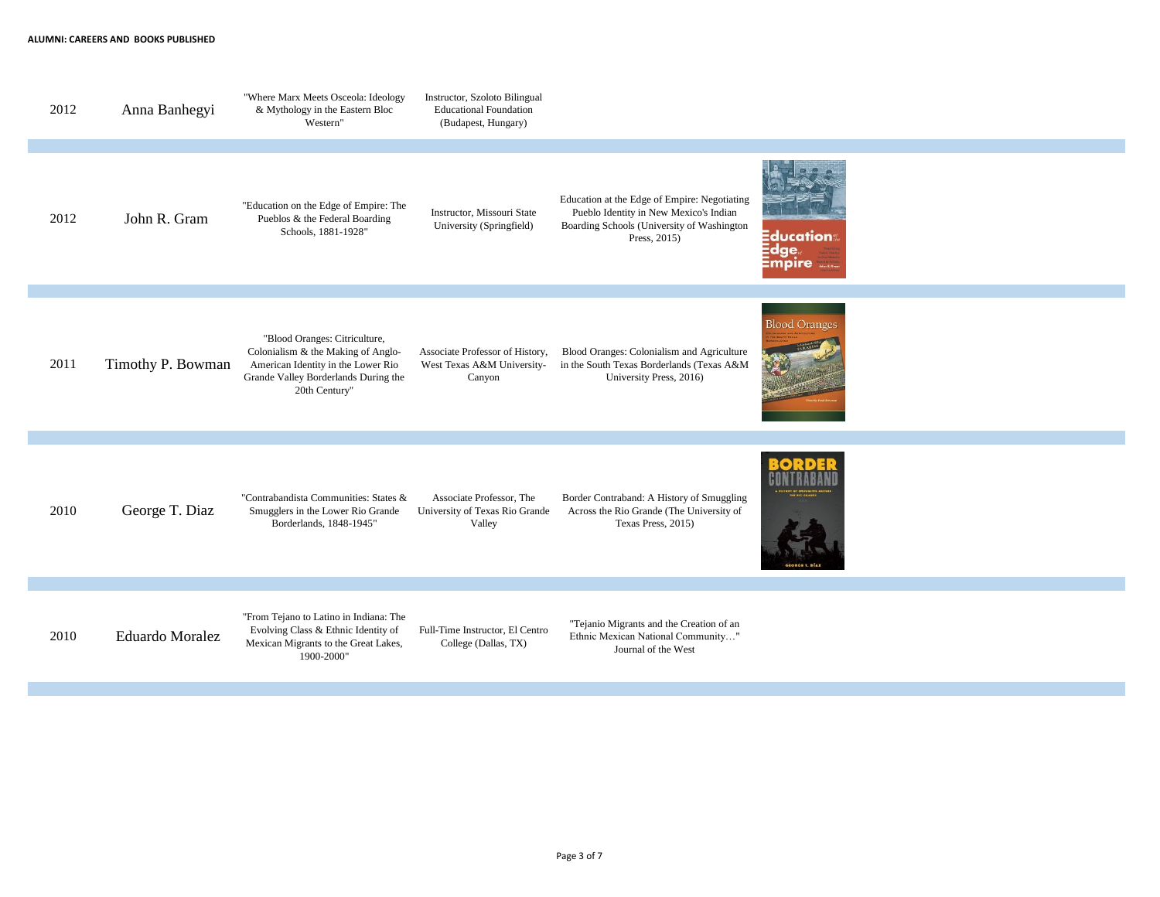| 2012 | Anna Banhegyi          | "Where Marx Meets Osceola: Ideology<br>& Mythology in the Eastern Bloc<br>Western"                                                                                 | Instructor, Szoloto Bilingual<br><b>Educational Foundation</b><br>(Budapest, Hungary) |                                                                                                                                                      |                                   |
|------|------------------------|--------------------------------------------------------------------------------------------------------------------------------------------------------------------|---------------------------------------------------------------------------------------|------------------------------------------------------------------------------------------------------------------------------------------------------|-----------------------------------|
|      |                        |                                                                                                                                                                    |                                                                                       |                                                                                                                                                      |                                   |
| 2012 | John R. Gram           | "Education on the Edge of Empire: The<br>Pueblos & the Federal Boarding<br>Schools, 1881-1928"                                                                     | Instructor, Missouri State<br>University (Springfield)                                | Education at the Edge of Empire: Negotiating<br>Pueblo Identity in New Mexico's Indian<br>Boarding Schools (University of Washington<br>Press, 2015) | Education:<br>$\Xi$ dge<br>:mpire |
|      |                        |                                                                                                                                                                    |                                                                                       |                                                                                                                                                      |                                   |
| 2011 | Timothy P. Bowman      | "Blood Oranges: Citriculture,<br>Colonialism & the Making of Anglo-<br>American Identity in the Lower Rio<br>Grande Valley Borderlands During the<br>20th Century" | Associate Professor of History,<br>West Texas A&M University-<br>Canyon               | Blood Oranges: Colonialism and Agriculture<br>in the South Texas Borderlands (Texas A&M<br>University Press, 2016)                                   | <b>Blood Oranges</b>              |
|      |                        |                                                                                                                                                                    |                                                                                       |                                                                                                                                                      |                                   |
| 2010 | George T. Diaz         | "Contrabandista Communities: States &<br>Smugglers in the Lower Rio Grande<br>Borderlands, 1848-1945"                                                              | Associate Professor, The<br>University of Texas Rio Grande<br>Valley                  | Border Contraband: A History of Smuggling<br>Across the Rio Grande (The University of<br>Texas Press, 2015)                                          | EORGE F. BIA                      |
|      |                        |                                                                                                                                                                    |                                                                                       |                                                                                                                                                      |                                   |
| 2010 | <b>Eduardo Moralez</b> | "From Tejano to Latino in Indiana: The<br>Evolving Class & Ethnic Identity of<br>Mexican Migrants to the Great Lakes,<br>1900-2000"                                | Full-Time Instructor, El Centro<br>College (Dallas, TX)                               | "Tejanio Migrants and the Creation of an<br>Ethnic Mexican National Community"<br>Journal of the West                                                |                                   |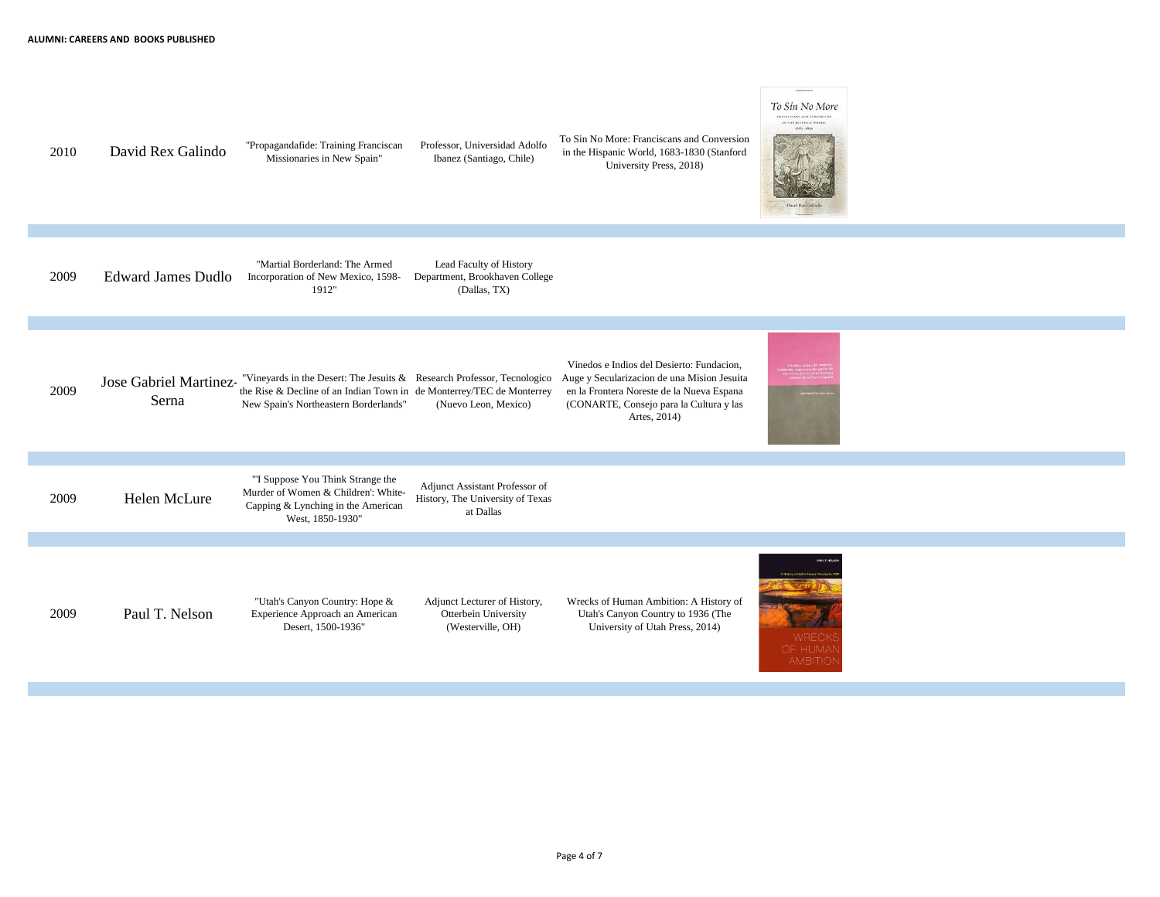| 2010 | David Rex Galindo              | "Propagandafide: Training Franciscan<br>Missionaries in New Spain"                                                                                                                        | Professor, Universidad Adolfo<br>Ibanez (Santiago, Chile)                       | To Sin No More: Franciscans and Conversion<br>in the Hispanic World, 1683-1830 (Stanford<br>University Press, 2018)                                                                              |                                    |
|------|--------------------------------|-------------------------------------------------------------------------------------------------------------------------------------------------------------------------------------------|---------------------------------------------------------------------------------|--------------------------------------------------------------------------------------------------------------------------------------------------------------------------------------------------|------------------------------------|
|      |                                |                                                                                                                                                                                           |                                                                                 |                                                                                                                                                                                                  |                                    |
| 2009 | <b>Edward James Dudlo</b>      | "Martial Borderland: The Armed<br>Incorporation of New Mexico, 1598-<br>1912"                                                                                                             | Lead Faculty of History<br>Department, Brookhaven College<br>(Dallas, TX)       |                                                                                                                                                                                                  |                                    |
|      |                                |                                                                                                                                                                                           |                                                                                 |                                                                                                                                                                                                  |                                    |
| 2009 | Jose Gabriel Martinez<br>Serna | "Vineyards in the Desert: The Jesuits & Research Professor, Tecnologico<br>the Rise & Decline of an Indian Town in de Monterrey/TEC de Monterrey<br>New Spain's Northeastern Borderlands" | (Nuevo Leon, Mexico)                                                            | Vinedos e Indios del Desierto: Fundacion,<br>Auge y Secularizacion de una Mision Jesuita<br>en la Frontera Noreste de la Nueva Espana<br>(CONARTE, Consejo para la Cultura y las<br>Artes, 2014) |                                    |
|      |                                |                                                                                                                                                                                           |                                                                                 |                                                                                                                                                                                                  |                                    |
| 2009 | Helen McLure                   | "I Suppose You Think Strange the<br>Murder of Women & Children': White-<br>Capping & Lynching in the American<br>West, 1850-1930"                                                         | Adjunct Assistant Professor of<br>History, The University of Texas<br>at Dallas |                                                                                                                                                                                                  |                                    |
|      |                                |                                                                                                                                                                                           |                                                                                 |                                                                                                                                                                                                  |                                    |
| 2009 | Paul T. Nelson                 | "Utah's Canyon Country: Hope &<br>Experience Approach an American<br>Desert, 1500-1936"                                                                                                   | Adjunct Lecturer of History,<br>Otterbein University<br>(Westerville, OH)       | Wrecks of Human Ambition: A History of<br>Utah's Canyon Country to 1936 (The<br>University of Utah Press, 2014)                                                                                  | WREC<br>OF HUMA<br><b>AMBITIOI</b> |

To Sin No More FRANCISCANS AND CONVERSION  $16.741. \text{H1474,X16-WOLAR},$   $16.73 - 15.10$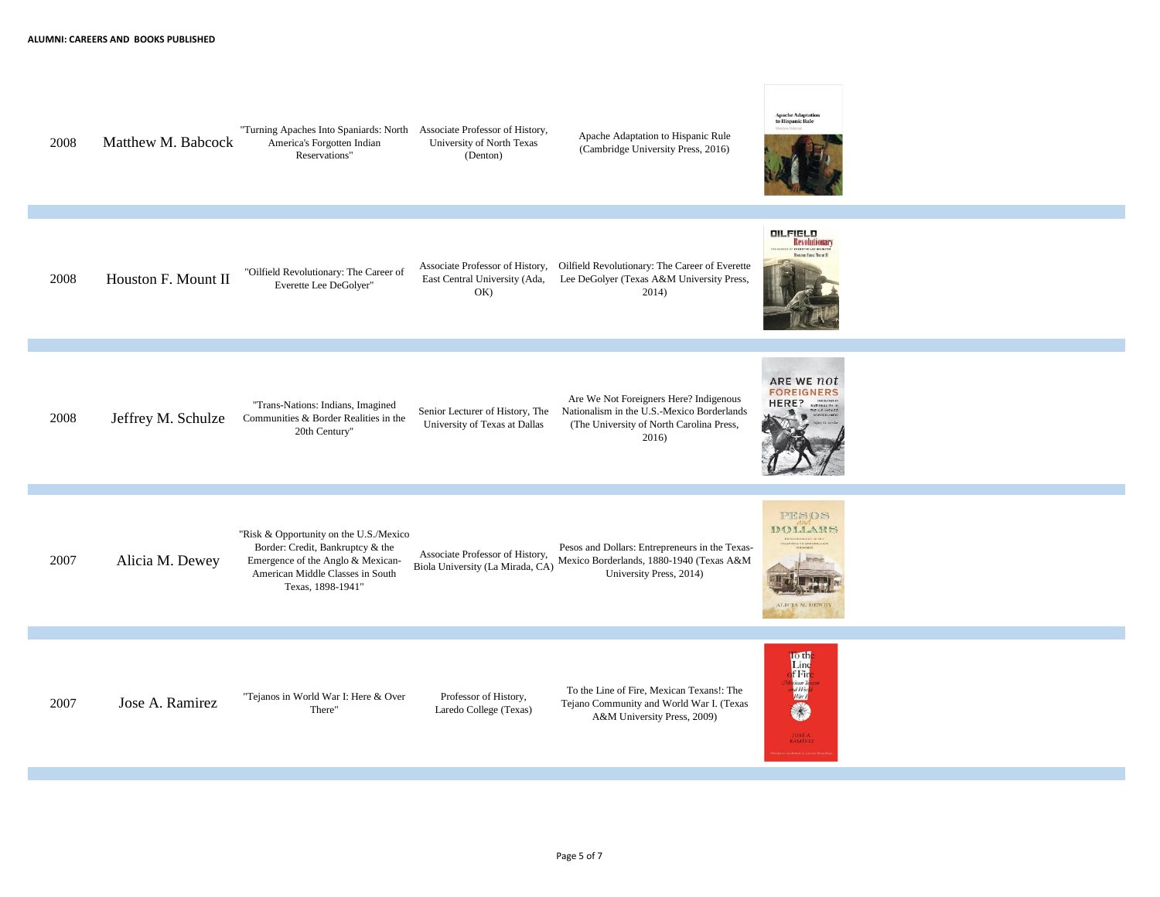"Turning Apaches Into Spaniards: North Associate Professor of History, Apache Adaptation to Hispanic Rule 2008 Matthew M. Babcock America's Forgotten Indian University of North Texas (Cambridge University Press, 2016) Reservations" (Denton) **QILFIELD**<br>Revolutionary **Busten Fast Veret II** Associate Professor of History, Oilfield Revolutionary: The Career of Everette 2008 Houston F. Mount II "Oilfield Revolutionary: The Career of East Central University (Ada, Lee DeGolyer (Texas A&M University Press, Everette Lee DeGolyer" OK) 2014) ARE WE not **FOREIGNERS** Are We Not Foreigners Here? Indigenous HERE? "Trans-Nations: Indians, Imagined Senior Lecturer of History, The Nationalism in the U.S.-Mexico Borderlands 2008 Jeffrey M. Schulze Communities & Border Realities in the University of Texas at Dallas (The University of North Carolina Press, 20th Century" 2016) PESOS DOLLARS "Risk & Opportunity on the U.S./Mexico Border: Credit, Bankruptcy & the Pesos and Dollars: Entrepreneurs in the Texas-Associate Professor of History, 2007 Alicia M. Dewey Emergence of the Anglo & Mexican-Mexico Borderlands, 1880-1940 (Texas A&M Biola University (La Mirada, CA) American Middle Classes in South University Press, 2014) Texas, 1898-1941" ALICIA M. DEWEY 中国学校 To the Line of Fire, Mexican Texans!: The 2007 Jose A. Ramirez  $\frac{1}{2}$  Tejanos in World War I: Here & Over Professor of History, Tejano Community and World War I. (Texas There" Laredo College (Texas) A&M University Press, 2009) JOSÉ A.<br>RAMÍREZ

**Apache Adaptation**<br>to Hispanic Rule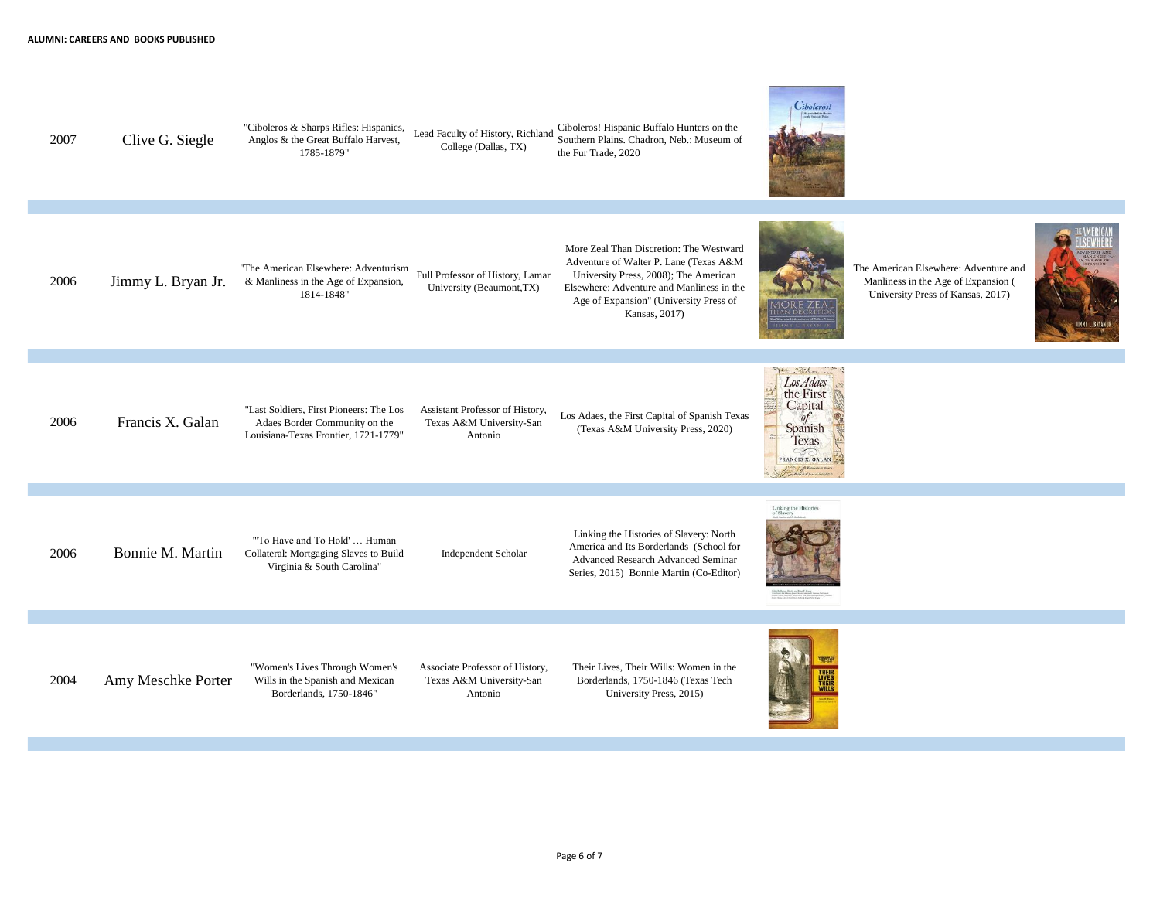



The American Elsewhere: Adventure and Manliness in the Age of Expansion ( University Press of Kansas, 2017)